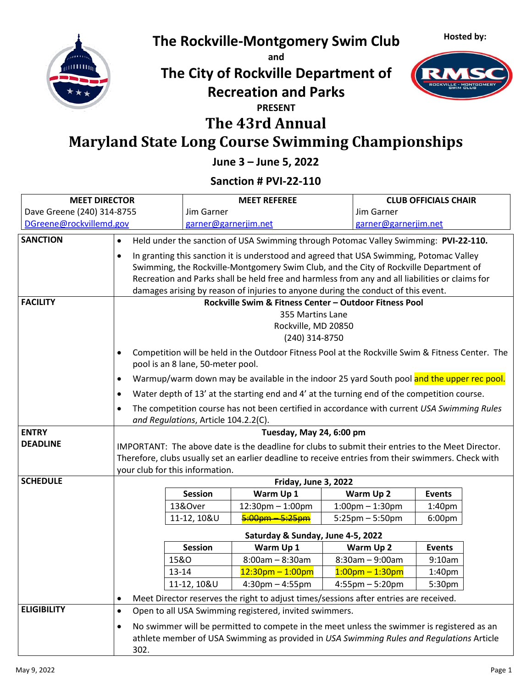**Hosted by:**



# **The Rockville-Montgomery Swim Club**

**and**

## **The City of Rockville Department of Recreation and Parks**



#### **PRESENT**

### **The 43rd Annual**

# **Maryland State Long Course Swimming Championships**

**June 3 – June 5, 2022**

### **Sanction # PVI-22-110**

| <b>MEET DIRECTOR</b>       |                                                   |                      | <b>MEET REFEREE</b>                                                                                                                                                                    | <b>CLUB OFFICIALS CHAIR</b>       |                                     |  |
|----------------------------|---------------------------------------------------|----------------------|----------------------------------------------------------------------------------------------------------------------------------------------------------------------------------------|-----------------------------------|-------------------------------------|--|
| Dave Greene (240) 314-8755 |                                                   | Jim Garner           |                                                                                                                                                                                        | Jim Garner                        |                                     |  |
| DGreene@rockvillemd.gov    |                                                   | garner@garnerjim.net |                                                                                                                                                                                        | garner@garnerjim.net              |                                     |  |
| <b>SANCTION</b>            | $\bullet$                                         |                      | Held under the sanction of USA Swimming through Potomac Valley Swimming: PVI-22-110.                                                                                                   |                                   |                                     |  |
|                            | $\bullet$                                         |                      | In granting this sanction it is understood and agreed that USA Swimming, Potomac Valley                                                                                                |                                   |                                     |  |
|                            |                                                   |                      | Swimming, the Rockville-Montgomery Swim Club, and the City of Rockville Department of                                                                                                  |                                   |                                     |  |
|                            |                                                   |                      | Recreation and Parks shall be held free and harmless from any and all liabilities or claims for                                                                                        |                                   |                                     |  |
|                            |                                                   |                      | damages arising by reason of injuries to anyone during the conduct of this event.                                                                                                      |                                   |                                     |  |
| <b>FACILITY</b>            |                                                   |                      | Rockville Swim & Fitness Center - Outdoor Fitness Pool                                                                                                                                 |                                   |                                     |  |
|                            |                                                   |                      | 355 Martins Lane<br>Rockville, MD 20850                                                                                                                                                |                                   |                                     |  |
|                            |                                                   |                      | (240) 314-8750                                                                                                                                                                         |                                   |                                     |  |
|                            | $\bullet$                                         |                      | Competition will be held in the Outdoor Fitness Pool at the Rockville Swim & Fitness Center. The                                                                                       |                                   |                                     |  |
|                            | pool is an 8 lane, 50-meter pool.                 |                      |                                                                                                                                                                                        |                                   |                                     |  |
|                            | ٠                                                 |                      | Warmup/warm down may be available in the indoor 25 yard South pool and the upper rec pool.                                                                                             |                                   |                                     |  |
|                            | $\bullet$                                         |                      | Water depth of 13' at the starting end and 4' at the turning end of the competition course.                                                                                            |                                   |                                     |  |
|                            | $\bullet$<br>and Regulations, Article 104.2.2(C). |                      | The competition course has not been certified in accordance with current USA Swimming Rules                                                                                            |                                   |                                     |  |
| <b>ENTRY</b>               |                                                   |                      | Tuesday, May 24, 6:00 pm                                                                                                                                                               |                                   |                                     |  |
| <b>DEADLINE</b>            |                                                   |                      | IMPORTANT: The above date is the deadline for clubs to submit their entries to the Meet Director.                                                                                      |                                   |                                     |  |
|                            |                                                   |                      | Therefore, clubs usually set an earlier deadline to receive entries from their swimmers. Check with                                                                                    |                                   |                                     |  |
|                            | your club for this information.                   |                      |                                                                                                                                                                                        |                                   |                                     |  |
| <b>SCHEDULE</b>            |                                                   |                      | Friday, June 3, 2022                                                                                                                                                                   |                                   |                                     |  |
|                            |                                                   | Session<br>13&Over   | Warm Up 1<br>$12:30$ pm $- 1:00$ pm                                                                                                                                                    | Warm Up 2<br>$1:00$ pm $-1:30$ pm | <b>Events</b><br>1:40 <sub>pm</sub> |  |
|                            |                                                   | 11-12, 10&U          | $5:00$ pm $-5:25$ pm                                                                                                                                                                   | $5:25 \text{pm} - 5:50 \text{pm}$ | 6:00 <sub>pm</sub>                  |  |
|                            |                                                   |                      | Saturday & Sunday, June 4-5, 2022                                                                                                                                                      |                                   |                                     |  |
|                            |                                                   | <b>Session</b>       | Warm Up 1                                                                                                                                                                              | Warm Up 2                         | <b>Events</b>                       |  |
|                            | 15&0                                              |                      | $8:00am - 8:30am$                                                                                                                                                                      | $8:30am - 9:00am$                 | 9:10am                              |  |
|                            | 13-14                                             |                      | $12:30$ pm - 1:00pm                                                                                                                                                                    | $1:00$ pm – 1:30pm                | 1:40 <sub>pm</sub>                  |  |
|                            |                                                   | 11-12, 10&U          | $4:30$ pm $-4:55$ pm                                                                                                                                                                   | $4:55$ pm $-5:20$ pm              | 5:30pm                              |  |
|                            | ٠                                                 |                      | Meet Director reserves the right to adjust times/sessions after entries are received.                                                                                                  |                                   |                                     |  |
| <b>ELIGIBILITY</b>         | $\bullet$                                         |                      | Open to all USA Swimming registered, invited swimmers.                                                                                                                                 |                                   |                                     |  |
|                            | $\bullet$<br>302.                                 |                      | No swimmer will be permitted to compete in the meet unless the swimmer is registered as an<br>athlete member of USA Swimming as provided in USA Swimming Rules and Regulations Article |                                   |                                     |  |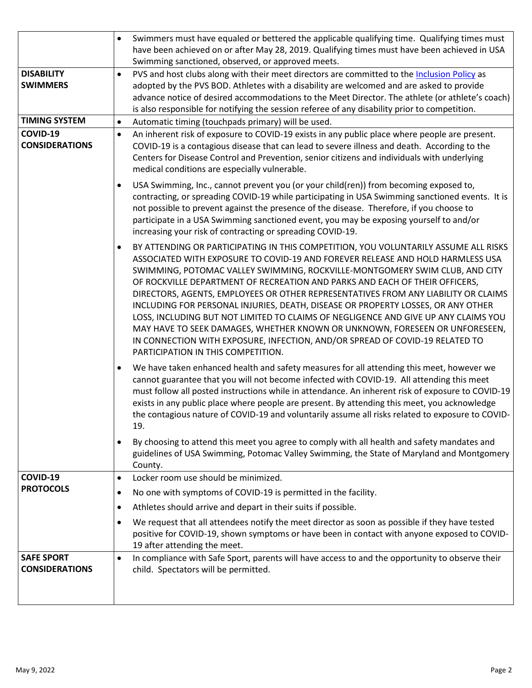|                                            | Swimmers must have equaled or bettered the applicable qualifying time. Qualifying times must<br>$\bullet$<br>have been achieved on or after May 28, 2019. Qualifying times must have been achieved in USA                                                                                                                                                                                                                                                                                                                                                                                                                                                                                                                                                                                                             |
|--------------------------------------------|-----------------------------------------------------------------------------------------------------------------------------------------------------------------------------------------------------------------------------------------------------------------------------------------------------------------------------------------------------------------------------------------------------------------------------------------------------------------------------------------------------------------------------------------------------------------------------------------------------------------------------------------------------------------------------------------------------------------------------------------------------------------------------------------------------------------------|
|                                            | Swimming sanctioned, observed, or approved meets.                                                                                                                                                                                                                                                                                                                                                                                                                                                                                                                                                                                                                                                                                                                                                                     |
| <b>DISABILITY</b><br><b>SWIMMERS</b>       | PVS and host clubs along with their meet directors are committed to the Inclusion Policy as<br>$\bullet$                                                                                                                                                                                                                                                                                                                                                                                                                                                                                                                                                                                                                                                                                                              |
|                                            | adopted by the PVS BOD. Athletes with a disability are welcomed and are asked to provide<br>advance notice of desired accommodations to the Meet Director. The athlete (or athlete's coach)                                                                                                                                                                                                                                                                                                                                                                                                                                                                                                                                                                                                                           |
|                                            | is also responsible for notifying the session referee of any disability prior to competition.                                                                                                                                                                                                                                                                                                                                                                                                                                                                                                                                                                                                                                                                                                                         |
| <b>TIMING SYSTEM</b>                       | Automatic timing (touchpads primary) will be used.<br>$\bullet$                                                                                                                                                                                                                                                                                                                                                                                                                                                                                                                                                                                                                                                                                                                                                       |
| COVID-19                                   | An inherent risk of exposure to COVID-19 exists in any public place where people are present.<br>$\bullet$                                                                                                                                                                                                                                                                                                                                                                                                                                                                                                                                                                                                                                                                                                            |
| <b>CONSIDERATIONS</b>                      | COVID-19 is a contagious disease that can lead to severe illness and death. According to the<br>Centers for Disease Control and Prevention, senior citizens and individuals with underlying<br>medical conditions are especially vulnerable.                                                                                                                                                                                                                                                                                                                                                                                                                                                                                                                                                                          |
|                                            | USA Swimming, Inc., cannot prevent you (or your child(ren)) from becoming exposed to,<br>$\bullet$<br>contracting, or spreading COVID-19 while participating in USA Swimming sanctioned events. It is<br>not possible to prevent against the presence of the disease. Therefore, if you choose to<br>participate in a USA Swimming sanctioned event, you may be exposing yourself to and/or<br>increasing your risk of contracting or spreading COVID-19.                                                                                                                                                                                                                                                                                                                                                             |
|                                            | BY ATTENDING OR PARTICIPATING IN THIS COMPETITION, YOU VOLUNTARILY ASSUME ALL RISKS<br>$\bullet$<br>ASSOCIATED WITH EXPOSURE TO COVID-19 AND FOREVER RELEASE AND HOLD HARMLESS USA<br>SWIMMING, POTOMAC VALLEY SWIMMING, ROCKVILLE-MONTGOMERY SWIM CLUB, AND CITY<br>OF ROCKVILLE DEPARTMENT OF RECREATION AND PARKS AND EACH OF THEIR OFFICERS,<br>DIRECTORS, AGENTS, EMPLOYEES OR OTHER REPRESENTATIVES FROM ANY LIABILITY OR CLAIMS<br>INCLUDING FOR PERSONAL INJURIES, DEATH, DISEASE OR PROPERTY LOSSES, OR ANY OTHER<br>LOSS, INCLUDING BUT NOT LIMITED TO CLAIMS OF NEGLIGENCE AND GIVE UP ANY CLAIMS YOU<br>MAY HAVE TO SEEK DAMAGES, WHETHER KNOWN OR UNKNOWN, FORESEEN OR UNFORESEEN,<br>IN CONNECTION WITH EXPOSURE, INFECTION, AND/OR SPREAD OF COVID-19 RELATED TO<br>PARTICIPATION IN THIS COMPETITION. |
|                                            | We have taken enhanced health and safety measures for all attending this meet, however we<br>$\bullet$<br>cannot guarantee that you will not become infected with COVID-19. All attending this meet<br>must follow all posted instructions while in attendance. An inherent risk of exposure to COVID-19<br>exists in any public place where people are present. By attending this meet, you acknowledge<br>the contagious nature of COVID-19 and voluntarily assume all risks related to exposure to COVID-<br>19.                                                                                                                                                                                                                                                                                                   |
|                                            | By choosing to attend this meet you agree to comply with all health and safety mandates and<br>$\bullet$<br>guidelines of USA Swimming, Potomac Valley Swimming, the State of Maryland and Montgomery<br>County.                                                                                                                                                                                                                                                                                                                                                                                                                                                                                                                                                                                                      |
| COVID-19                                   | Locker room use should be minimized.<br>$\bullet$                                                                                                                                                                                                                                                                                                                                                                                                                                                                                                                                                                                                                                                                                                                                                                     |
| <b>PROTOCOLS</b>                           | No one with symptoms of COVID-19 is permitted in the facility.<br>$\bullet$                                                                                                                                                                                                                                                                                                                                                                                                                                                                                                                                                                                                                                                                                                                                           |
|                                            | Athletes should arrive and depart in their suits if possible.<br>$\bullet$                                                                                                                                                                                                                                                                                                                                                                                                                                                                                                                                                                                                                                                                                                                                            |
|                                            | We request that all attendees notify the meet director as soon as possible if they have tested<br>$\bullet$<br>positive for COVID-19, shown symptoms or have been in contact with anyone exposed to COVID-<br>19 after attending the meet.                                                                                                                                                                                                                                                                                                                                                                                                                                                                                                                                                                            |
| <b>SAFE SPORT</b><br><b>CONSIDERATIONS</b> | In compliance with Safe Sport, parents will have access to and the opportunity to observe their<br>$\bullet$<br>child. Spectators will be permitted.                                                                                                                                                                                                                                                                                                                                                                                                                                                                                                                                                                                                                                                                  |
|                                            |                                                                                                                                                                                                                                                                                                                                                                                                                                                                                                                                                                                                                                                                                                                                                                                                                       |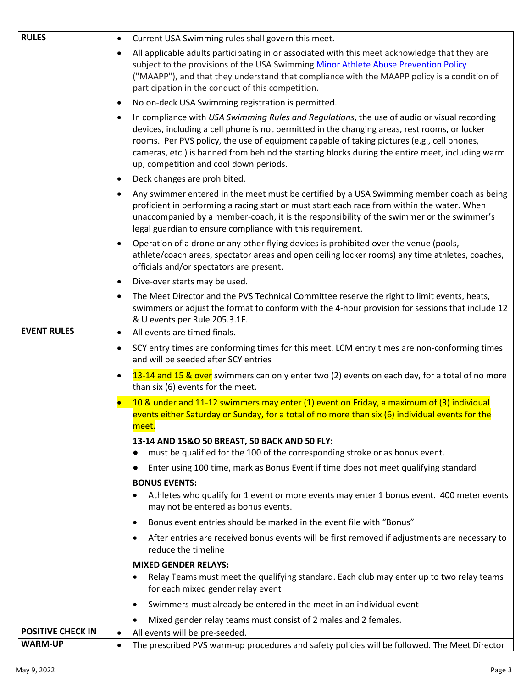| <b>RULES</b>             | Current USA Swimming rules shall govern this meet.<br>$\bullet$                                                                                                                                                                                                                                                                                                                                                                                      |
|--------------------------|------------------------------------------------------------------------------------------------------------------------------------------------------------------------------------------------------------------------------------------------------------------------------------------------------------------------------------------------------------------------------------------------------------------------------------------------------|
|                          | All applicable adults participating in or associated with this meet acknowledge that they are<br>$\bullet$<br>subject to the provisions of the USA Swimming Minor Athlete Abuse Prevention Policy<br>("MAAPP"), and that they understand that compliance with the MAAPP policy is a condition of<br>participation in the conduct of this competition.                                                                                                |
|                          | No on-deck USA Swimming registration is permitted.<br>$\bullet$                                                                                                                                                                                                                                                                                                                                                                                      |
|                          | In compliance with USA Swimming Rules and Regulations, the use of audio or visual recording<br>$\bullet$<br>devices, including a cell phone is not permitted in the changing areas, rest rooms, or locker<br>rooms. Per PVS policy, the use of equipment capable of taking pictures (e.g., cell phones,<br>cameras, etc.) is banned from behind the starting blocks during the entire meet, including warm<br>up, competition and cool down periods. |
|                          | Deck changes are prohibited.<br>$\bullet$                                                                                                                                                                                                                                                                                                                                                                                                            |
|                          | Any swimmer entered in the meet must be certified by a USA Swimming member coach as being<br>$\bullet$<br>proficient in performing a racing start or must start each race from within the water. When<br>unaccompanied by a member-coach, it is the responsibility of the swimmer or the swimmer's<br>legal guardian to ensure compliance with this requirement.                                                                                     |
|                          | Operation of a drone or any other flying devices is prohibited over the venue (pools,<br>$\bullet$<br>athlete/coach areas, spectator areas and open ceiling locker rooms) any time athletes, coaches,<br>officials and/or spectators are present.                                                                                                                                                                                                    |
|                          | Dive-over starts may be used.<br>$\bullet$                                                                                                                                                                                                                                                                                                                                                                                                           |
|                          | The Meet Director and the PVS Technical Committee reserve the right to limit events, heats,<br>$\bullet$<br>swimmers or adjust the format to conform with the 4-hour provision for sessions that include 12<br>& U events per Rule 205.3.1F.                                                                                                                                                                                                         |
| <b>EVENT RULES</b>       | All events are timed finals.<br>$\bullet$                                                                                                                                                                                                                                                                                                                                                                                                            |
|                          | SCY entry times are conforming times for this meet. LCM entry times are non-conforming times<br>$\bullet$<br>and will be seeded after SCY entries                                                                                                                                                                                                                                                                                                    |
|                          | 13-14 and 15 & over swimmers can only enter two (2) events on each day, for a total of no more<br>$\bullet$<br>than six (6) events for the meet.                                                                                                                                                                                                                                                                                                     |
|                          | 10 & under and 11-12 swimmers may enter (1) event on Friday, a maximum of (3) individual<br>$\bullet$<br>events either Saturday or Sunday, for a total of no more than six (6) individual events for the<br>meet.                                                                                                                                                                                                                                    |
|                          | 13-14 AND 15&O 50 BREAST, 50 BACK AND 50 FLY:                                                                                                                                                                                                                                                                                                                                                                                                        |
|                          | must be qualified for the 100 of the corresponding stroke or as bonus event.                                                                                                                                                                                                                                                                                                                                                                         |
|                          | Enter using 100 time, mark as Bonus Event if time does not meet qualifying standard                                                                                                                                                                                                                                                                                                                                                                  |
|                          | <b>BONUS EVENTS:</b>                                                                                                                                                                                                                                                                                                                                                                                                                                 |
|                          | Athletes who qualify for 1 event or more events may enter 1 bonus event. 400 meter events<br>may not be entered as bonus events.                                                                                                                                                                                                                                                                                                                     |
|                          | Bonus event entries should be marked in the event file with "Bonus"                                                                                                                                                                                                                                                                                                                                                                                  |
|                          | After entries are received bonus events will be first removed if adjustments are necessary to<br>reduce the timeline                                                                                                                                                                                                                                                                                                                                 |
|                          | <b>MIXED GENDER RELAYS:</b>                                                                                                                                                                                                                                                                                                                                                                                                                          |
|                          | Relay Teams must meet the qualifying standard. Each club may enter up to two relay teams<br>for each mixed gender relay event                                                                                                                                                                                                                                                                                                                        |
|                          | Swimmers must already be entered in the meet in an individual event                                                                                                                                                                                                                                                                                                                                                                                  |
|                          | Mixed gender relay teams must consist of 2 males and 2 females.                                                                                                                                                                                                                                                                                                                                                                                      |
| <b>POSITIVE CHECK IN</b> | All events will be pre-seeded.<br>$\bullet$                                                                                                                                                                                                                                                                                                                                                                                                          |
| <b>WARM-UP</b>           | The prescribed PVS warm-up procedures and safety policies will be followed. The Meet Director<br>$\bullet$                                                                                                                                                                                                                                                                                                                                           |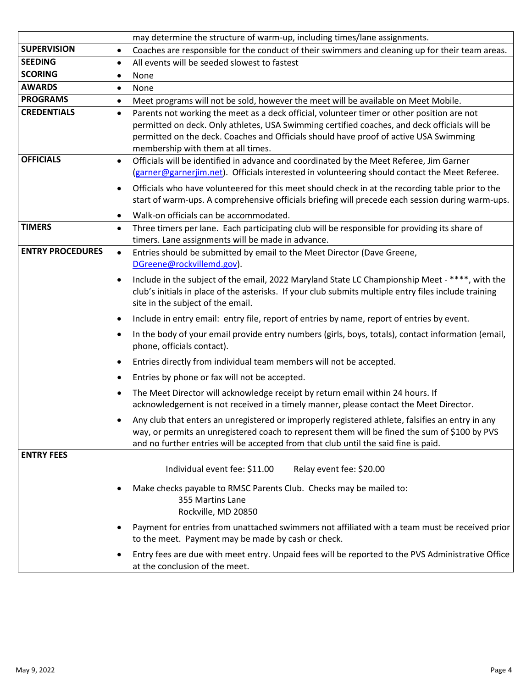|                         | may determine the structure of warm-up, including times/lane assignments.                                                                                                                                                                                                                                                              |
|-------------------------|----------------------------------------------------------------------------------------------------------------------------------------------------------------------------------------------------------------------------------------------------------------------------------------------------------------------------------------|
| <b>SUPERVISION</b>      | Coaches are responsible for the conduct of their swimmers and cleaning up for their team areas.<br>$\bullet$                                                                                                                                                                                                                           |
| <b>SEEDING</b>          | All events will be seeded slowest to fastest<br>$\bullet$                                                                                                                                                                                                                                                                              |
| <b>SCORING</b>          | None<br>$\bullet$                                                                                                                                                                                                                                                                                                                      |
| <b>AWARDS</b>           | None<br>$\bullet$                                                                                                                                                                                                                                                                                                                      |
| <b>PROGRAMS</b>         | Meet programs will not be sold, however the meet will be available on Meet Mobile.<br>$\bullet$                                                                                                                                                                                                                                        |
| <b>CREDENTIALS</b>      | Parents not working the meet as a deck official, volunteer timer or other position are not<br>$\bullet$<br>permitted on deck. Only athletes, USA Swimming certified coaches, and deck officials will be<br>permitted on the deck. Coaches and Officials should have proof of active USA Swimming<br>membership with them at all times. |
| <b>OFFICIALS</b>        | Officials will be identified in advance and coordinated by the Meet Referee, Jim Garner<br>$\bullet$<br>(garner@garnerjim.net). Officials interested in volunteering should contact the Meet Referee.                                                                                                                                  |
|                         | Officials who have volunteered for this meet should check in at the recording table prior to the<br>$\bullet$<br>start of warm-ups. A comprehensive officials briefing will precede each session during warm-ups.<br>Walk-on officials can be accommodated.<br>$\bullet$                                                               |
| <b>TIMERS</b>           | Three timers per lane. Each participating club will be responsible for providing its share of<br>$\bullet$<br>timers. Lane assignments will be made in advance.                                                                                                                                                                        |
| <b>ENTRY PROCEDURES</b> | Entries should be submitted by email to the Meet Director (Dave Greene,<br>$\bullet$<br>DGreene@rockvillemd.gov).                                                                                                                                                                                                                      |
|                         | Include in the subject of the email, 2022 Maryland State LC Championship Meet - ****, with the<br>$\bullet$<br>club's initials in place of the asterisks. If your club submits multiple entry files include training<br>site in the subject of the email.                                                                              |
|                         | Include in entry email: entry file, report of entries by name, report of entries by event.<br>$\bullet$                                                                                                                                                                                                                                |
|                         | In the body of your email provide entry numbers (girls, boys, totals), contact information (email,<br>$\bullet$<br>phone, officials contact).                                                                                                                                                                                          |
|                         | Entries directly from individual team members will not be accepted.<br>$\bullet$                                                                                                                                                                                                                                                       |
|                         | Entries by phone or fax will not be accepted.<br>$\bullet$                                                                                                                                                                                                                                                                             |
|                         | The Meet Director will acknowledge receipt by return email within 24 hours. If<br>$\bullet$<br>acknowledgement is not received in a timely manner, please contact the Meet Director.                                                                                                                                                   |
|                         | Any club that enters an unregistered or improperly registered athlete, falsifies an entry in any<br>way, or permits an unregistered coach to represent them will be fined the sum of \$100 by PVS<br>and no further entries will be accepted from that club until the said fine is paid.                                               |
| <b>ENTRY FEES</b>       |                                                                                                                                                                                                                                                                                                                                        |
|                         | Individual event fee: \$11.00<br>Relay event fee: \$20.00                                                                                                                                                                                                                                                                              |
|                         | Make checks payable to RMSC Parents Club. Checks may be mailed to:<br>$\bullet$<br>355 Martins Lane<br>Rockville, MD 20850                                                                                                                                                                                                             |
|                         | Payment for entries from unattached swimmers not affiliated with a team must be received prior<br>$\bullet$<br>to the meet. Payment may be made by cash or check.                                                                                                                                                                      |
|                         | Entry fees are due with meet entry. Unpaid fees will be reported to the PVS Administrative Office<br>$\bullet$<br>at the conclusion of the meet.                                                                                                                                                                                       |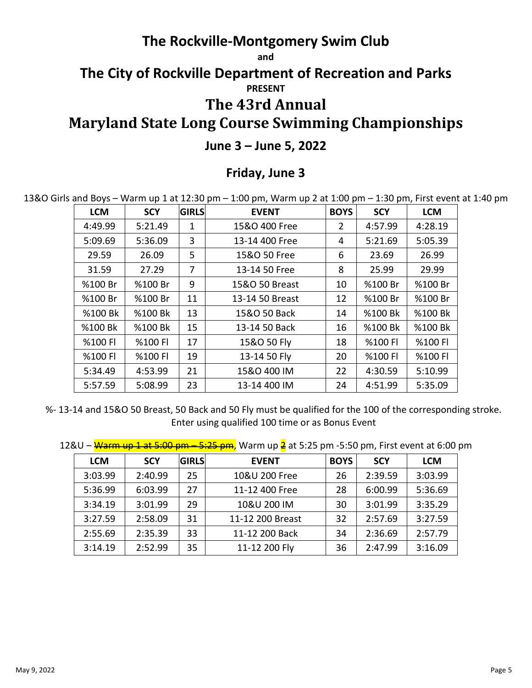### **The Rockville-Montgomery Swim Club**

**and**

# **The City of Rockville Department of Recreation and Parks PRESENT**

## **The 43rd Annual**

## **Maryland State Long Course Swimming Championships**

#### **June 3 – June 5, 2022**

#### **Friday, June 3**

13&O Girls and Boys – Warm up 1 at 12:30 pm – 1:00 pm, Warm up 2 at 1:00 pm – 1:30 pm, First event at 1:40 pm

| <b>LCM</b> | <b>SCY</b> | <b>GIRLS</b> | <b>EVENT</b>    | <b>BOYS</b> | <b>SCY</b> | <b>LCM</b> |
|------------|------------|--------------|-----------------|-------------|------------|------------|
| 4:49.99    | 5:21.49    | 1            | 15&O 400 Free   | 2           | 4:57.99    | 4:28.19    |
| 5:09.69    | 5:36.09    | 3            | 13-14 400 Free  | 4           | 5:21.69    | 5:05.39    |
| 29.59      | 26.09      | 5            | 15&O 50 Free    | 6           | 23.69      | 26.99      |
| 31.59      | 27.29      | 7            | 13-14 50 Free   | 8           | 25.99      | 29.99      |
| %100 Br    | %100 Br    | 9            | 15&O 50 Breast  | 10          | %100 Br    | %100 Br    |
| %100 Br    | %100 Br    | 11           | 13-14 50 Breast | 12          | %100 Br    | %100 Br    |
| %100 Bk    | %100 Bk    | 13           | 15&O 50 Back    | 14          | %100 Bk    | %100 Bk    |
| %100 Bk    | %100 Bk    | 15           | 13-14 50 Back   | 16          | %100 Bk    | %100 Bk    |
| %100 FI    | %100 FI    | 17           | 15&O 50 Fly     | 18          | %100 FI    | %100 Fl    |
| %100 FI    | %100 FI    | 19           | 13-14 50 Fly    | 20          | %100 FI    | %100 Fl    |
| 5:34.49    | 4:53.99    | 21           | 15&O 400 IM     | 22          | 4:30.59    | 5:10.99    |
| 5:57.59    | 5:08.99    | 23           | 13-14 400 IM    | 24          | 4:51.99    | 5:35.09    |

%- 13-14 and 15&O 50 Breast, 50 Back and 50 Fly must be qualified for the 100 of the corresponding stroke. Enter using qualified 100 time or as Bonus Event

12&U – Warm up 1 at 5:00 pm – 5:25 pm, Warm up  $\frac{2}{5}$  at 5:25 pm -5:50 pm, First event at 6:00 pm

| <b>LCM</b> | <b>SCY</b> | <b>GIRLS</b> | <b>EVENT</b>     | <b>BOYS</b> | <b>SCY</b> | <b>LCM</b> |
|------------|------------|--------------|------------------|-------------|------------|------------|
| 3:03.99    | 2:40.99    | 25           | 10&U 200 Free    | 26          | 2:39.59    | 3:03.99    |
| 5:36.99    | 6:03.99    | 27           | 11-12 400 Free   | 28          | 6:00.99    | 5:36.69    |
| 3:34.19    | 3:01.99    | 29           | 10&U 200 IM      | 30          | 3:01.99    | 3:35.29    |
| 3:27.59    | 2:58.09    | 31           | 11-12 200 Breast | 32          | 2:57.69    | 3:27.59    |
| 2:55.69    | 2:35.39    | 33           | 11-12 200 Back   | 34          | 2:36.69    | 2:57.79    |
| 3:14.19    | 2:52.99    | 35           | 11-12 200 Fly    | 36          | 2:47.99    | 3:16.09    |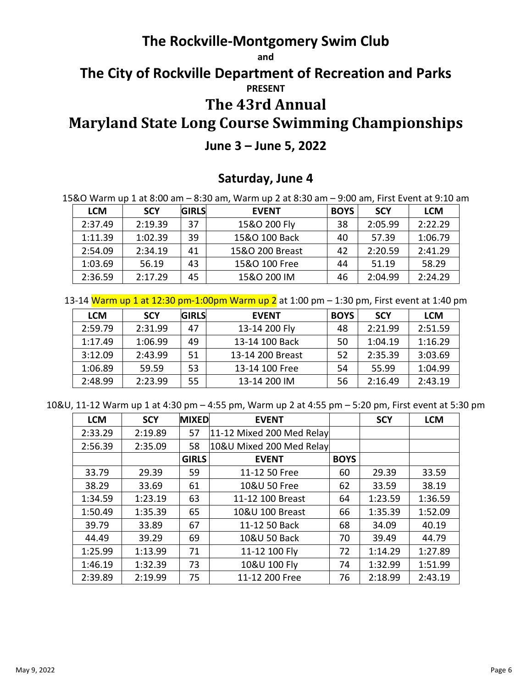### **The Rockville-Montgomery Swim Club**

**and**

### **The City of Rockville Department of Recreation and Parks PRESENT**

### **The 43rd Annual**

# **Maryland State Long Course Swimming Championships**

### **June 3 – June 5, 2022**

### **Saturday, June 4**

15&O Warm up 1 at 8:00 am – 8:30 am, Warm up 2 at 8:30 am – 9:00 am, First Event at 9:10 am

| <b>LCM</b> | <b>SCY</b> | <b>GIRLS</b> | <b>EVENT</b>    | <b>BOYS</b> | <b>SCY</b> | <b>LCM</b> |
|------------|------------|--------------|-----------------|-------------|------------|------------|
| 2:37.49    | 2:19.39    | 37           | 15&O 200 Fly    | 38          | 2:05.99    | 2:22.29    |
| 1:11.39    | 1:02.39    | 39           | 15&O 100 Back   | 40          | 57.39      | 1:06.79    |
| 2:54.09    | 2:34.19    | 41           | 15&O 200 Breast | 42          | 2:20.59    | 2:41.29    |
| 1:03.69    | 56.19      | 43           | 15&O 100 Free   | 44          | 51.19      | 58.29      |
| 2:36.59    | 2:17.29    | 45           | 15&O 200 IM     | 46          | 2:04.99    | 2:24.29    |

13-14 Warm up 1 at 12:30 pm-1:00pm Warm up 2 at 1:00 pm - 1:30 pm, First event at 1:40 pm

| <b>LCM</b> | <b>SCY</b> | <b>GIRLS</b> | <b>EVENT</b>     | <b>BOYS</b> | <b>SCY</b> | <b>LCM</b> |
|------------|------------|--------------|------------------|-------------|------------|------------|
| 2:59.79    | 2:31.99    | 47           | 13-14 200 Fly    | 48          | 2:21.99    | 2:51.59    |
| 1:17.49    | 1:06.99    | 49           | 13-14 100 Back   | 50          | 1:04.19    | 1:16.29    |
| 3:12.09    | 2:43.99    | 51           | 13-14 200 Breast | 52          | 2:35.39    | 3:03.69    |
| 1:06.89    | 59.59      | 53           | 13-14 100 Free   | 54          | 55.99      | 1:04.99    |
| 2:48.99    | 2:23.99    | 55           | 13-14 200 IM     | 56          | 2:16.49    | 2:43.19    |

10&U, 11-12 Warm up 1 at 4:30 pm – 4:55 pm, Warm up 2 at 4:55 pm – 5:20 pm, First event at 5:30 pm

| <b>LCM</b> | <b>SCY</b> | <b>MIXED</b> | <b>EVENT</b>              |             | <b>SCY</b> | <b>LCM</b> |
|------------|------------|--------------|---------------------------|-------------|------------|------------|
| 2:33.29    | 2:19.89    | 57           | 11-12 Mixed 200 Med Relay |             |            |            |
| 2:56.39    | 2:35.09    | 58           | 10&U Mixed 200 Med Relay  |             |            |            |
|            |            | <b>GIRLS</b> | <b>EVENT</b>              | <b>BOYS</b> |            |            |
| 33.79      | 29.39      | 59           | 11-12 50 Free             | 60          | 29.39      | 33.59      |
| 38.29      | 33.69      | 61           | 10&U 50 Free              | 62          | 33.59      | 38.19      |
| 1:34.59    | 1:23.19    | 63           | 11-12 100 Breast          | 64          | 1:23.59    | 1:36.59    |
| 1:50.49    | 1:35.39    | 65           | 10&U 100 Breast           | 66          | 1:35.39    | 1:52.09    |
| 39.79      | 33.89      | 67           | 11-12 50 Back             | 68          | 34.09      | 40.19      |
| 44.49      | 39.29      | 69           | 10&U 50 Back              | 70          | 39.49      | 44.79      |
| 1:25.99    | 1:13.99    | 71           | 11-12 100 Fly             | 72          | 1:14.29    | 1:27.89    |
| 1:46.19    | 1:32.39    | 73           | 10&U 100 Fly              | 74          | 1:32.99    | 1:51.99    |
| 2:39.89    | 2:19.99    | 75           | 11-12 200 Free            | 76          | 2:18.99    | 2:43.19    |